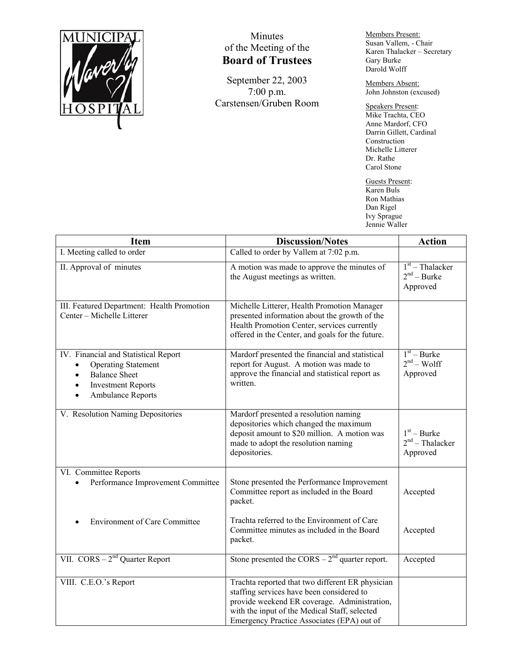

## Minutes of the Meeting of the **Board of Trustees**

September 22, 2003 7:00 p.m. Carstensen/Gruben Room Members Present: Susan Vallem, - Chair Karen Thalacker – Secretary Gary Burke Darold Wolff

Members Absent: John Johnston (excused)

Speakers Present: Mike Trachta, CEO Anne Mardorf, CFO Darrin Gillett, Cardinal Construction Michelle Litterer Dr. Rathe Carol Stone

Guests Present: Karen Buls Ron Mathias Dan Rigel Ivy Sprague Jennie Waller

| <b>Item</b>                                                                                                                                                                        | <b>Discussion/Notes</b>                                                                                                                                                                                                                      | <b>Action</b>                                  |
|------------------------------------------------------------------------------------------------------------------------------------------------------------------------------------|----------------------------------------------------------------------------------------------------------------------------------------------------------------------------------------------------------------------------------------------|------------------------------------------------|
| I. Meeting called to order                                                                                                                                                         | Called to order by Vallem at 7:02 p.m.                                                                                                                                                                                                       |                                                |
| II. Approval of minutes                                                                                                                                                            | A motion was made to approve the minutes of<br>the August meetings as written.                                                                                                                                                               | $1st$ – Thalacker<br>$2nd - Burke$<br>Approved |
| III. Featured Department: Health Promotion<br>Center - Michelle Litterer                                                                                                           | Michelle Litterer, Health Promotion Manager<br>presented information about the growth of the<br>Health Promotion Center, services currently<br>offered in the Center, and goals for the future.                                              |                                                |
| IV. Financial and Statistical Report<br><b>Operating Statement</b><br>٠<br><b>Balance Sheet</b><br>$\bullet$<br><b>Investment Reports</b><br>$\bullet$<br><b>Ambulance Reports</b> | Mardorf presented the financial and statistical<br>report for August. A motion was made to<br>approve the financial and statistical report as<br>written.                                                                                    | $1st - Burke$<br>$2nd - Wolf$<br>Approved      |
| V. Resolution Naming Depositories                                                                                                                                                  | Mardorf presented a resolution naming<br>depositories which changed the maximum<br>deposit amount to \$20 million. A motion was<br>made to adopt the resolution naming<br>depositories.                                                      | $1st - Burke$<br>$2nd$ – Thalacker<br>Approved |
| VI. Committee Reports<br>Performance Improvement Committee                                                                                                                         | Stone presented the Performance Improvement<br>Committee report as included in the Board<br>packet.                                                                                                                                          | Accepted                                       |
| <b>Environment of Care Committee</b>                                                                                                                                               | Trachta referred to the Environment of Care<br>Committee minutes as included in the Board<br>packet.                                                                                                                                         | Accepted                                       |
| VII. $CORS - 2nd$ Quarter Report                                                                                                                                                   | Stone presented the $CORS - 2nd$ quarter report.                                                                                                                                                                                             | Accepted                                       |
| VIII. C.E.O.'s Report                                                                                                                                                              | Trachta reported that two different ER physician<br>staffing services have been considered to<br>provide weekend ER coverage. Administration,<br>with the input of the Medical Staff, selected<br>Emergency Practice Associates (EPA) out of |                                                |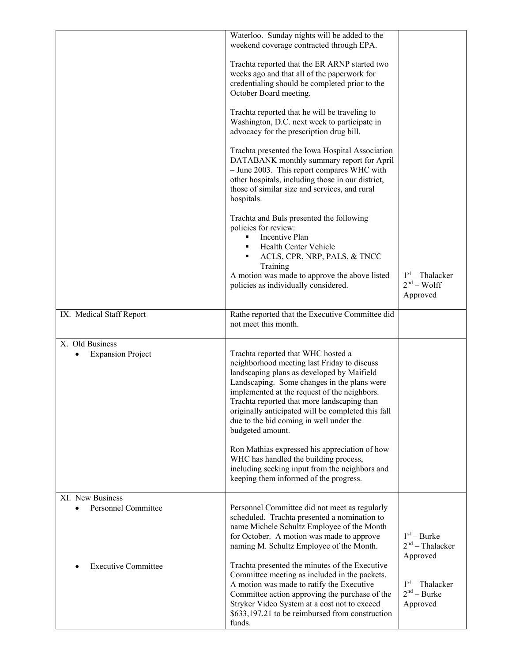|                                                | Waterloo. Sunday nights will be added to the<br>weekend coverage contracted through EPA.                                                                                                                                                                                                                                                                                                           |                                                |
|------------------------------------------------|----------------------------------------------------------------------------------------------------------------------------------------------------------------------------------------------------------------------------------------------------------------------------------------------------------------------------------------------------------------------------------------------------|------------------------------------------------|
|                                                | Trachta reported that the ER ARNP started two<br>weeks ago and that all of the paperwork for<br>credentialing should be completed prior to the<br>October Board meeting.                                                                                                                                                                                                                           |                                                |
|                                                | Trachta reported that he will be traveling to<br>Washington, D.C. next week to participate in<br>advocacy for the prescription drug bill.                                                                                                                                                                                                                                                          |                                                |
|                                                | Trachta presented the Iowa Hospital Association<br>DATABANK monthly summary report for April<br>- June 2003. This report compares WHC with<br>other hospitals, including those in our district,<br>those of similar size and services, and rural<br>hospitals.                                                                                                                                     |                                                |
|                                                | Trachta and Buls presented the following<br>policies for review:<br>Incentive Plan<br>Health Center Vehicle<br>ACLS, CPR, NRP, PALS, & TNCC<br>Training                                                                                                                                                                                                                                            |                                                |
|                                                | A motion was made to approve the above listed<br>policies as individually considered.                                                                                                                                                                                                                                                                                                              | $1st$ – Thalacker<br>$2nd - Wolf$<br>Approved  |
| IX. Medical Staff Report                       | Rathe reported that the Executive Committee did<br>not meet this month.                                                                                                                                                                                                                                                                                                                            |                                                |
| X. Old Business<br><b>Expansion Project</b>    | Trachta reported that WHC hosted a<br>neighborhood meeting last Friday to discuss<br>landscaping plans as developed by Maifield<br>Landscaping. Some changes in the plans were<br>implemented at the request of the neighbors.<br>Trachta reported that more landscaping than<br>originally anticipated will be completed this fall<br>due to the bid coming in well under the<br>budgeted amount. |                                                |
|                                                | Ron Mathias expressed his appreciation of how<br>WHC has handled the building process,<br>including seeking input from the neighbors and<br>keeping them informed of the progress.                                                                                                                                                                                                                 |                                                |
| XI. New Business<br><b>Personnel Committee</b> | Personnel Committee did not meet as regularly<br>scheduled. Trachta presented a nomination to<br>name Michele Schultz Employee of the Month<br>for October. A motion was made to approve<br>naming M. Schultz Employee of the Month.                                                                                                                                                               | $1st - Burke$<br>$2nd$ – Thalacker<br>Approved |
| <b>Executive Committee</b>                     | Trachta presented the minutes of the Executive<br>Committee meeting as included in the packets.<br>A motion was made to ratify the Executive<br>Committee action approving the purchase of the<br>Stryker Video System at a cost not to exceed<br>\$633,197.21 to be reimbursed from construction<br>funds.                                                                                        | $1st$ – Thalacker<br>$2nd - Burke$<br>Approved |